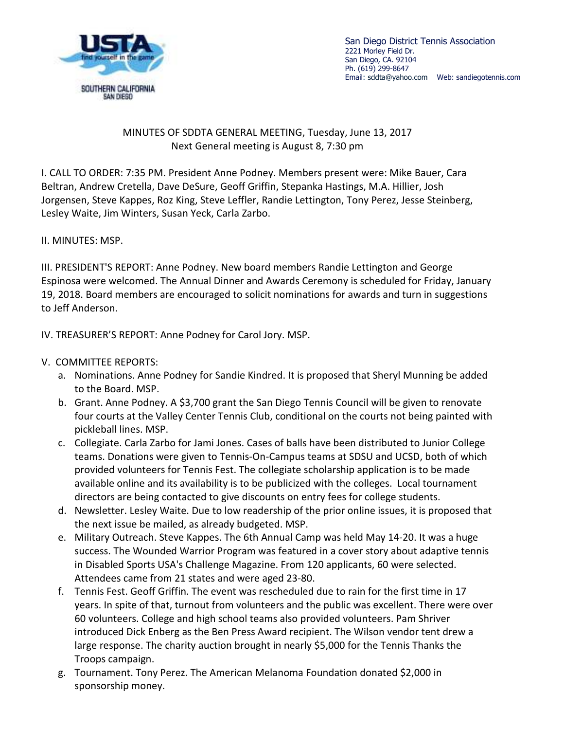

San Diego District Tennis Association 2221 Morley Field Dr. San Diego, CA. 92104 Ph. (619) 299-8647 Email: sddta@yahoo.com Web: sandiegotennis.com

## MINUTES OF SDDTA GENERAL MEETING, Tuesday, June 13, 2017 Next General meeting is August 8, 7:30 pm

I. CALL TO ORDER: 7:35 PM. President Anne Podney. Members present were: Mike Bauer, Cara Beltran, Andrew Cretella, Dave DeSure, Geoff Griffin, Stepanka Hastings, M.A. Hillier, Josh Jorgensen, Steve Kappes, Roz King, Steve Leffler, Randie Lettington, Tony Perez, Jesse Steinberg, Lesley Waite, Jim Winters, Susan Yeck, Carla Zarbo.

II. MINUTES: MSP.

III. PRESIDENT'S REPORT: Anne Podney. New board members Randie Lettington and George Espinosa were welcomed. The Annual Dinner and Awards Ceremony is scheduled for Friday, January 19, 2018. Board members are encouraged to solicit nominations for awards and turn in suggestions to Jeff Anderson.

IV. TREASURER'S REPORT: Anne Podney for Carol Jory. MSP.

## V. COMMITTEE REPORTS:

- a. Nominations. Anne Podney for Sandie Kindred. It is proposed that Sheryl Munning be added to the Board. MSP.
- b. Grant. Anne Podney. A \$3,700 grant the San Diego Tennis Council will be given to renovate four courts at the Valley Center Tennis Club, conditional on the courts not being painted with pickleball lines. MSP.
- c. Collegiate. Carla Zarbo for Jami Jones. Cases of balls have been distributed to Junior College teams. Donations were given to Tennis-On-Campus teams at SDSU and UCSD, both of which provided volunteers for Tennis Fest. The collegiate scholarship application is to be made available online and its availability is to be publicized with the colleges. Local tournament directors are being contacted to give discounts on entry fees for college students.
- d. Newsletter. Lesley Waite. Due to low readership of the prior online issues, it is proposed that the next issue be mailed, as already budgeted. MSP.
- e. Military Outreach. Steve Kappes. The 6th Annual Camp was held May 14-20. It was a huge success. The Wounded Warrior Program was featured in a cover story about adaptive tennis in Disabled Sports USA's Challenge Magazine. From 120 applicants, 60 were selected. Attendees came from 21 states and were aged 23-80.
- f. Tennis Fest. Geoff Griffin. The event was rescheduled due to rain for the first time in 17 years. In spite of that, turnout from volunteers and the public was excellent. There were over 60 volunteers. College and high school teams also provided volunteers. Pam Shriver introduced Dick Enberg as the Ben Press Award recipient. The Wilson vendor tent drew a large response. The charity auction brought in nearly \$5,000 for the Tennis Thanks the Troops campaign.
- g. Tournament. Tony Perez. The American Melanoma Foundation donated \$2,000 in sponsorship money.